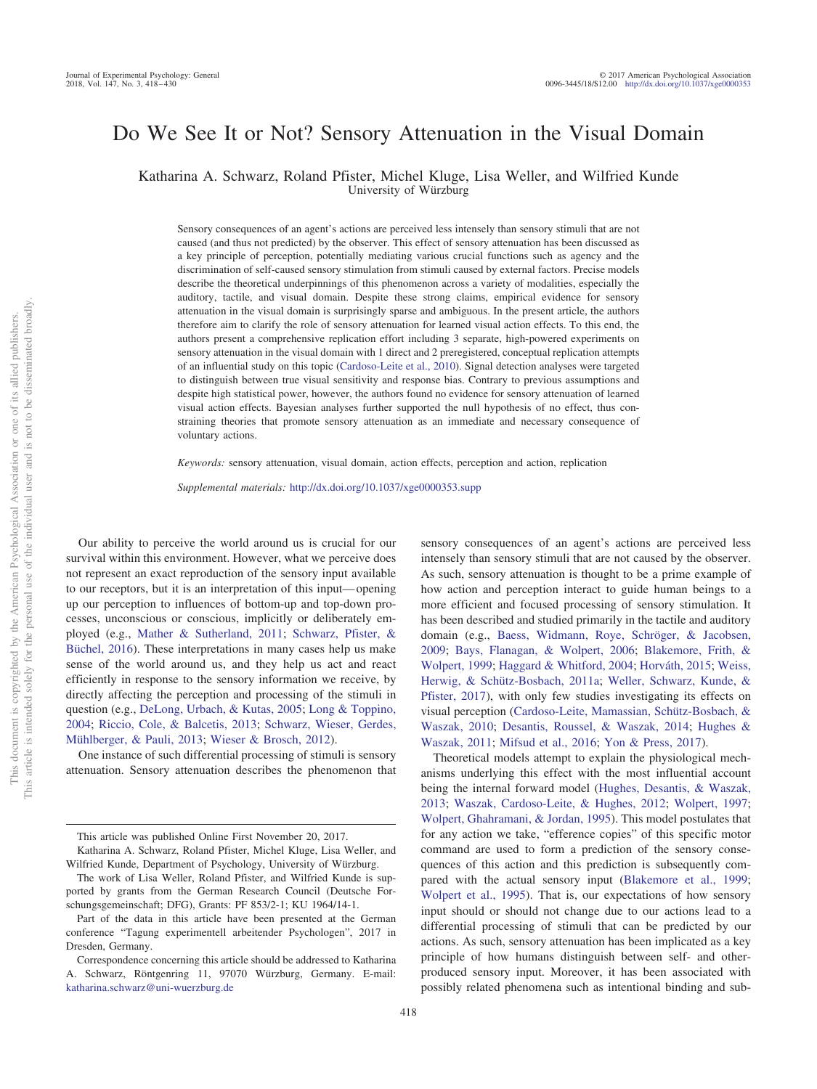# Do We See It or Not? Sensory Attenuation in the Visual Domain

Katharina A. Schwarz, Roland Pfister, Michel Kluge, Lisa Weller, and Wilfried Kunde University of Würzburg

Sensory consequences of an agent's actions are perceived less intensely than sensory stimuli that are not caused (and thus not predicted) by the observer. This effect of sensory attenuation has been discussed as a key principle of perception, potentially mediating various crucial functions such as agency and the discrimination of self-caused sensory stimulation from stimuli caused by external factors. Precise models describe the theoretical underpinnings of this phenomenon across a variety of modalities, especially the auditory, tactile, and visual domain. Despite these strong claims, empirical evidence for sensory attenuation in the visual domain is surprisingly sparse and ambiguous. In the present article, the authors therefore aim to clarify the role of sensory attenuation for learned visual action effects. To this end, the authors present a comprehensive replication effort including 3 separate, high-powered experiments on sensory attenuation in the visual domain with 1 direct and 2 preregistered, conceptual replication attempts of an influential study on this topic [\(Cardoso-Leite et al., 2010\)](#page-11-0). Signal detection analyses were targeted to distinguish between true visual sensitivity and response bias. Contrary to previous assumptions and despite high statistical power, however, the authors found no evidence for sensory attenuation of learned visual action effects. Bayesian analyses further supported the null hypothesis of no effect, thus constraining theories that promote sensory attenuation as an immediate and necessary consequence of voluntary actions.

*Keywords:* sensory attenuation, visual domain, action effects, perception and action, replication

*Supplemental materials:* http://dx.doi.org[/10.1037/xge0000353.supp](http://dx.doi.org/10.1037/xge0000353.supp)

Our ability to perceive the world around us is crucial for our survival within this environment. However, what we perceive does not represent an exact reproduction of the sensory input available to our receptors, but it is an interpretation of this input— opening up our perception to influences of bottom-up and top-down processes, unconscious or conscious, implicitly or deliberately employed (e.g., [Mather & Sutherland, 2011;](#page-11-1) [Schwarz, Pfister, &](#page-12-0) [Büchel, 2016\)](#page-12-0). These interpretations in many cases help us make sense of the world around us, and they help us act and react efficiently in response to the sensory information we receive, by directly affecting the perception and processing of the stimuli in question (e.g., [DeLong, Urbach, & Kutas, 2005;](#page-11-2) [Long & Toppino,](#page-11-3) [2004;](#page-11-3) [Riccio, Cole, & Balcetis, 2013;](#page-12-1) [Schwarz, Wieser, Gerdes,](#page-12-2) [Mühlberger, & Pauli, 2013;](#page-12-2) [Wieser & Brosch, 2012\)](#page-12-3).

One instance of such differential processing of stimuli is sensory attenuation. Sensory attenuation describes the phenomenon that

sensory consequences of an agent's actions are perceived less intensely than sensory stimuli that are not caused by the observer. As such, sensory attenuation is thought to be a prime example of how action and perception interact to guide human beings to a more efficient and focused processing of sensory stimulation. It has been described and studied primarily in the tactile and auditory domain (e.g., [Baess, Widmann, Roye, Schröger, & Jacobsen,](#page-11-4) [2009;](#page-11-4) [Bays, Flanagan, & Wolpert, 2006;](#page-11-5) [Blakemore, Frith, &](#page-11-6) [Wolpert, 1999;](#page-11-6) [Haggard & Whitford, 2004;](#page-11-7) [Horváth, 2015;](#page-11-8) [Weiss,](#page-12-4) [Herwig, & Schütz-Bosbach, 2011a;](#page-12-4) [Weller, Schwarz, Kunde, &](#page-12-5) [Pfister, 2017\)](#page-12-5), with only few studies investigating its effects on visual perception [\(Cardoso-Leite, Mamassian, Schütz-Bosbach, &](#page-11-0) [Waszak, 2010;](#page-11-0) [Desantis, Roussel, & Waszak, 2014;](#page-11-9) [Hughes &](#page-11-10) [Waszak, 2011;](#page-11-10) [Mifsud et al., 2016;](#page-11-11) [Yon & Press, 2017\)](#page-12-6).

Theoretical models attempt to explain the physiological mechanisms underlying this effect with the most influential account being the internal forward model [\(Hughes, Desantis, & Waszak,](#page-11-12) [2013;](#page-11-12) [Waszak, Cardoso-Leite, & Hughes, 2012;](#page-12-7) [Wolpert, 1997;](#page-12-8) [Wolpert, Ghahramani, & Jordan, 1995\)](#page-12-9). This model postulates that for any action we take, "efference copies" of this specific motor command are used to form a prediction of the sensory consequences of this action and this prediction is subsequently compared with the actual sensory input [\(Blakemore et al., 1999;](#page-11-6) [Wolpert et al., 1995\)](#page-12-9). That is, our expectations of how sensory input should or should not change due to our actions lead to a differential processing of stimuli that can be predicted by our actions. As such, sensory attenuation has been implicated as a key principle of how humans distinguish between self- and otherproduced sensory input. Moreover, it has been associated with possibly related phenomena such as intentional binding and sub-

This article was published Online First November 20, 2017.

Katharina A. Schwarz, Roland Pfister, Michel Kluge, Lisa Weller, and Wilfried Kunde, Department of Psychology, University of Würzburg.

The work of Lisa Weller, Roland Pfister, and Wilfried Kunde is supported by grants from the German Research Council (Deutsche Forschungsgemeinschaft; DFG), Grants: PF 853/2-1; KU 1964/14-1.

Part of the data in this article have been presented at the German conference "Tagung experimentell arbeitender Psychologen", 2017 in Dresden, Germany.

Correspondence concerning this article should be addressed to Katharina A. Schwarz, Röntgenring 11, 97070 Würzburg, Germany. E-mail: [katharina.schwarz@uni-wuerzburg.de](mailto:katharina.schwarz@uni-wuerzburg.de)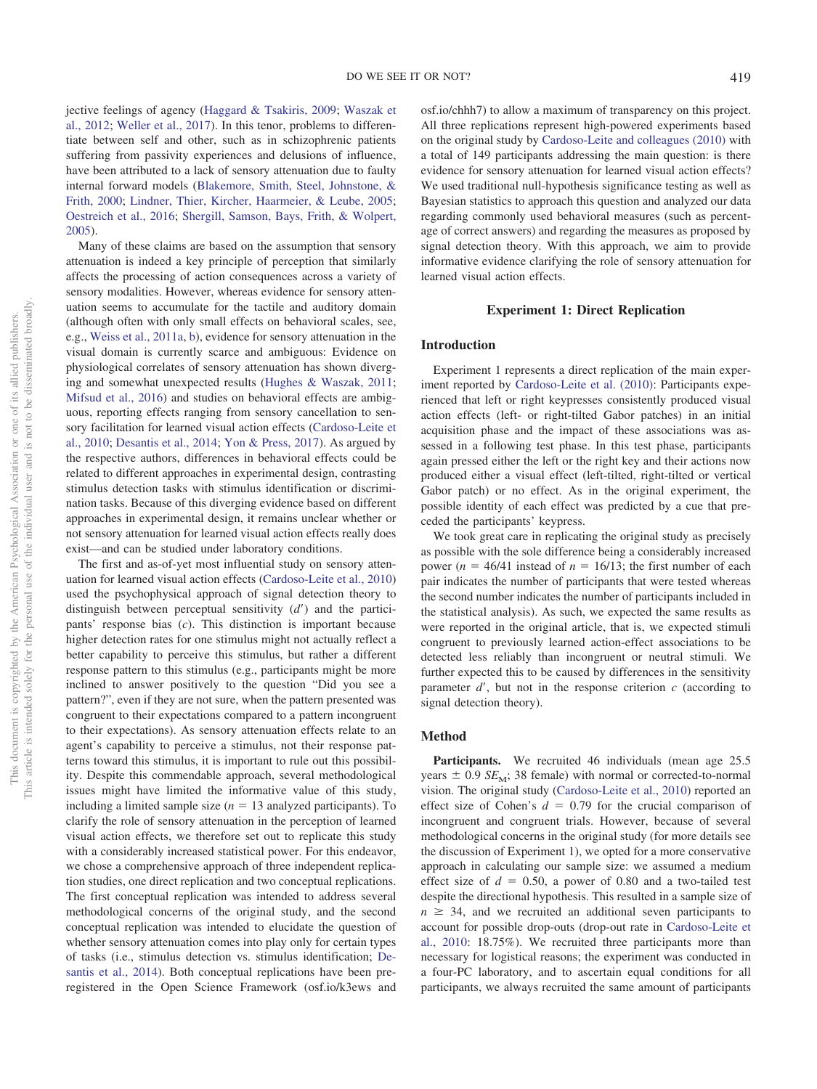jective feelings of agency [\(Haggard & Tsakiris, 2009;](#page-11-13) [Waszak et](#page-12-7) [al., 2012;](#page-12-7) [Weller et al., 2017\)](#page-12-5). In this tenor, problems to differentiate between self and other, such as in schizophrenic patients suffering from passivity experiences and delusions of influence, have been attributed to a lack of sensory attenuation due to faulty internal forward models [\(Blakemore, Smith, Steel, Johnstone, &](#page-11-14) [Frith, 2000;](#page-11-14) [Lindner, Thier, Kircher, Haarmeier, & Leube, 2005;](#page-11-15) [Oestreich et al., 2016;](#page-12-10) [Shergill, Samson, Bays, Frith, & Wolpert,](#page-12-11) [2005\)](#page-12-11).

Many of these claims are based on the assumption that sensory attenuation is indeed a key principle of perception that similarly affects the processing of action consequences across a variety of sensory modalities. However, whereas evidence for sensory attenuation seems to accumulate for the tactile and auditory domain (although often with only small effects on behavioral scales, see, e.g., [Weiss et al., 2011a,](#page-12-4) [b\)](#page-12-12), evidence for sensory attenuation in the visual domain is currently scarce and ambiguous: Evidence on physiological correlates of sensory attenuation has shown diverging and somewhat unexpected results [\(Hughes & Waszak, 2011;](#page-11-10) [Mifsud et al., 2016\)](#page-11-11) and studies on behavioral effects are ambiguous, reporting effects ranging from sensory cancellation to sensory facilitation for learned visual action effects [\(Cardoso-Leite et](#page-11-0) [al., 2010;](#page-11-0) [Desantis et al., 2014;](#page-11-9) [Yon & Press, 2017\)](#page-12-6). As argued by the respective authors, differences in behavioral effects could be related to different approaches in experimental design, contrasting stimulus detection tasks with stimulus identification or discrimination tasks. Because of this diverging evidence based on different approaches in experimental design, it remains unclear whether or not sensory attenuation for learned visual action effects really does exist—and can be studied under laboratory conditions.

The first and as-of-yet most influential study on sensory attenuation for learned visual action effects [\(Cardoso-Leite et al., 2010\)](#page-11-0) used the psychophysical approach of signal detection theory to distinguish between perceptual sensitivity  $(d')$  and the participants' response bias (*c*). This distinction is important because higher detection rates for one stimulus might not actually reflect a better capability to perceive this stimulus, but rather a different response pattern to this stimulus (e.g., participants might be more inclined to answer positively to the question "Did you see a pattern?", even if they are not sure, when the pattern presented was congruent to their expectations compared to a pattern incongruent to their expectations). As sensory attenuation effects relate to an agent's capability to perceive a stimulus, not their response patterns toward this stimulus, it is important to rule out this possibility. Despite this commendable approach, several methodological issues might have limited the informative value of this study, including a limited sample size  $(n = 13$  analyzed participants). To clarify the role of sensory attenuation in the perception of learned visual action effects, we therefore set out to replicate this study with a considerably increased statistical power. For this endeavor, we chose a comprehensive approach of three independent replication studies, one direct replication and two conceptual replications. The first conceptual replication was intended to address several methodological concerns of the original study, and the second conceptual replication was intended to elucidate the question of whether sensory attenuation comes into play only for certain types of tasks (i.e., stimulus detection vs. stimulus identification; [De](#page-11-9)[santis et al., 2014\)](#page-11-9). Both conceptual replications have been preregistered in the Open Science Framework (osf.io/k3ews and

osf.io/chhh7) to allow a maximum of transparency on this project. All three replications represent high-powered experiments based on the original study by [Cardoso-Leite and colleagues \(2010\)](#page-11-0) with a total of 149 participants addressing the main question: is there evidence for sensory attenuation for learned visual action effects? We used traditional null-hypothesis significance testing as well as Bayesian statistics to approach this question and analyzed our data regarding commonly used behavioral measures (such as percentage of correct answers) and regarding the measures as proposed by signal detection theory. With this approach, we aim to provide informative evidence clarifying the role of sensory attenuation for learned visual action effects.

## **Experiment 1: Direct Replication**

#### **Introduction**

Experiment 1 represents a direct replication of the main experiment reported by [Cardoso-Leite et al. \(2010\):](#page-11-0) Participants experienced that left or right keypresses consistently produced visual action effects (left- or right-tilted Gabor patches) in an initial acquisition phase and the impact of these associations was assessed in a following test phase. In this test phase, participants again pressed either the left or the right key and their actions now produced either a visual effect (left-tilted, right-tilted or vertical Gabor patch) or no effect. As in the original experiment, the possible identity of each effect was predicted by a cue that preceded the participants' keypress.

We took great care in replicating the original study as precisely as possible with the sole difference being a considerably increased power ( $n = 46/41$  instead of  $n = 16/13$ ; the first number of each pair indicates the number of participants that were tested whereas the second number indicates the number of participants included in the statistical analysis). As such, we expected the same results as were reported in the original article, that is, we expected stimuli congruent to previously learned action-effect associations to be detected less reliably than incongruent or neutral stimuli. We further expected this to be caused by differences in the sensitivity parameter  $d'$ , but not in the response criterion  $c$  (according to signal detection theory).

## **Method**

Participants. We recruited 46 individuals (mean age 25.5) years  $\pm$  0.9 *SE<sub>M</sub>*; 38 female) with normal or corrected-to-normal vision. The original study [\(Cardoso-Leite et al., 2010\)](#page-11-0) reported an effect size of Cohen's  $d = 0.79$  for the crucial comparison of incongruent and congruent trials. However, because of several methodological concerns in the original study (for more details see the discussion of Experiment 1), we opted for a more conservative approach in calculating our sample size: we assumed a medium effect size of  $d = 0.50$ , a power of 0.80 and a two-tailed test despite the directional hypothesis. This resulted in a sample size of  $n \geq 34$ , and we recruited an additional seven participants to account for possible drop-outs (drop-out rate in [Cardoso-Leite et](#page-11-0) [al., 2010:](#page-11-0) 18.75%). We recruited three participants more than necessary for logistical reasons; the experiment was conducted in a four-PC laboratory, and to ascertain equal conditions for all participants, we always recruited the same amount of participants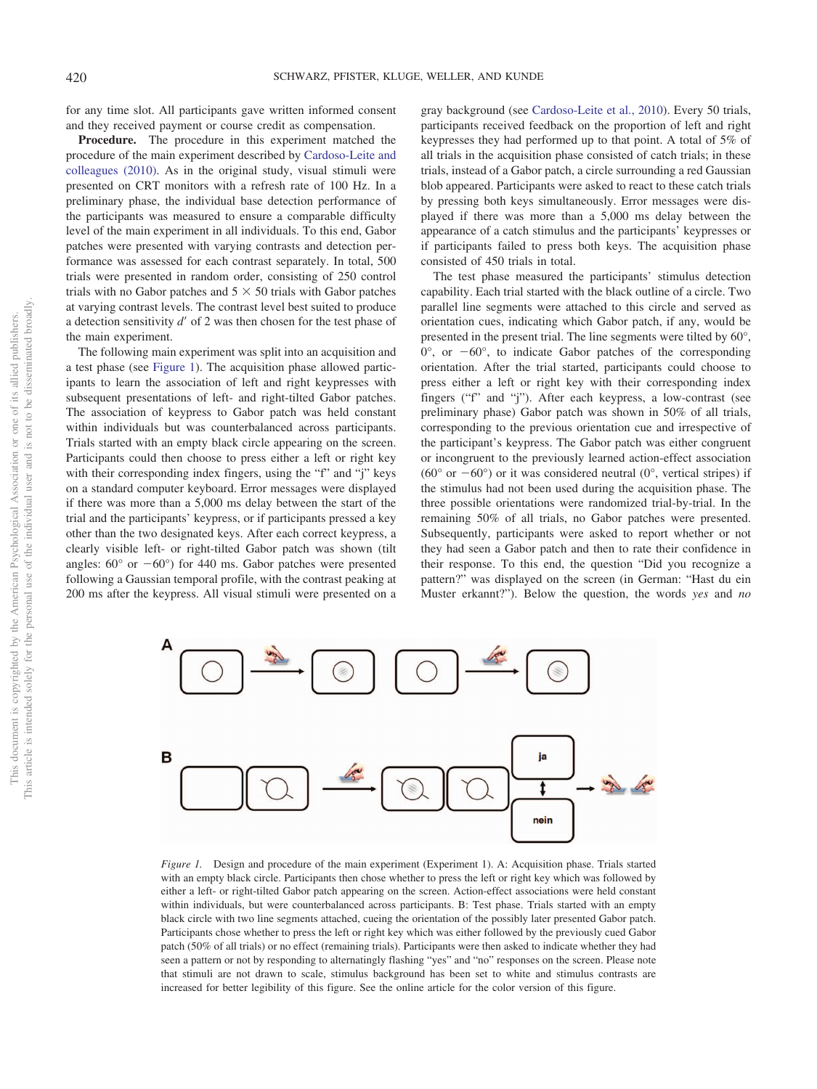for any time slot. All participants gave written informed consent and they received payment or course credit as compensation.

**Procedure.** The procedure in this experiment matched the procedure of the main experiment described by [Cardoso-Leite and](#page-11-0) [colleagues \(2010\).](#page-11-0) As in the original study, visual stimuli were presented on CRT monitors with a refresh rate of 100 Hz. In a preliminary phase, the individual base detection performance of the participants was measured to ensure a comparable difficulty level of the main experiment in all individuals. To this end, Gabor patches were presented with varying contrasts and detection performance was assessed for each contrast separately. In total, 500 trials were presented in random order, consisting of 250 control trials with no Gabor patches and  $5 \times 50$  trials with Gabor patches at varying contrast levels. The contrast level best suited to produce a detection sensitivity *d'* of 2 was then chosen for the test phase of the main experiment.

The following main experiment was split into an acquisition and a test phase (see [Figure 1\)](#page-2-0). The acquisition phase allowed participants to learn the association of left and right keypresses with subsequent presentations of left- and right-tilted Gabor patches. The association of keypress to Gabor patch was held constant within individuals but was counterbalanced across participants. Trials started with an empty black circle appearing on the screen. Participants could then choose to press either a left or right key with their corresponding index fingers, using the "f" and "j" keys on a standard computer keyboard. Error messages were displayed if there was more than a 5,000 ms delay between the start of the trial and the participants' keypress, or if participants pressed a key other than the two designated keys. After each correct keypress, a clearly visible left- or right-tilted Gabor patch was shown (tilt angles:  $60^{\circ}$  or  $-60^{\circ}$ ) for 440 ms. Gabor patches were presented following a Gaussian temporal profile, with the contrast peaking at 200 ms after the keypress. All visual stimuli were presented on a

gray background (see [Cardoso-Leite et al., 2010\)](#page-11-0). Every 50 trials, participants received feedback on the proportion of left and right keypresses they had performed up to that point. A total of 5% of all trials in the acquisition phase consisted of catch trials; in these trials, instead of a Gabor patch, a circle surrounding a red Gaussian blob appeared. Participants were asked to react to these catch trials by pressing both keys simultaneously. Error messages were displayed if there was more than a 5,000 ms delay between the appearance of a catch stimulus and the participants' keypresses or if participants failed to press both keys. The acquisition phase consisted of 450 trials in total.

The test phase measured the participants' stimulus detection capability. Each trial started with the black outline of a circle. Two parallel line segments were attached to this circle and served as orientation cues, indicating which Gabor patch, if any, would be presented in the present trial. The line segments were tilted by 60°,  $0^{\circ}$ , or  $-60^{\circ}$ , to indicate Gabor patches of the corresponding orientation. After the trial started, participants could choose to press either a left or right key with their corresponding index fingers ("f" and "j"). After each keypress, a low-contrast (see preliminary phase) Gabor patch was shown in 50% of all trials, corresponding to the previous orientation cue and irrespective of the participant's keypress. The Gabor patch was either congruent or incongruent to the previously learned action-effect association (60 $\degree$  or  $-60\degree$ ) or it was considered neutral (0 $\degree$ , vertical stripes) if the stimulus had not been used during the acquisition phase. The three possible orientations were randomized trial-by-trial. In the remaining 50% of all trials, no Gabor patches were presented. Subsequently, participants were asked to report whether or not they had seen a Gabor patch and then to rate their confidence in their response. To this end, the question "Did you recognize a pattern?" was displayed on the screen (in German: "Hast du ein Muster erkannt?"). Below the question, the words *yes* and *no*



<span id="page-2-0"></span>*Figure 1.* Design and procedure of the main experiment (Experiment 1). A: Acquisition phase. Trials started with an empty black circle. Participants then chose whether to press the left or right key which was followed by either a left- or right-tilted Gabor patch appearing on the screen. Action-effect associations were held constant within individuals, but were counterbalanced across participants. B: Test phase. Trials started with an empty black circle with two line segments attached, cueing the orientation of the possibly later presented Gabor patch. Participants chose whether to press the left or right key which was either followed by the previously cued Gabor patch (50% of all trials) or no effect (remaining trials). Participants were then asked to indicate whether they had seen a pattern or not by responding to alternatingly flashing "yes" and "no" responses on the screen. Please note that stimuli are not drawn to scale, stimulus background has been set to white and stimulus contrasts are increased for better legibility of this figure. See the online article for the color version of this figure.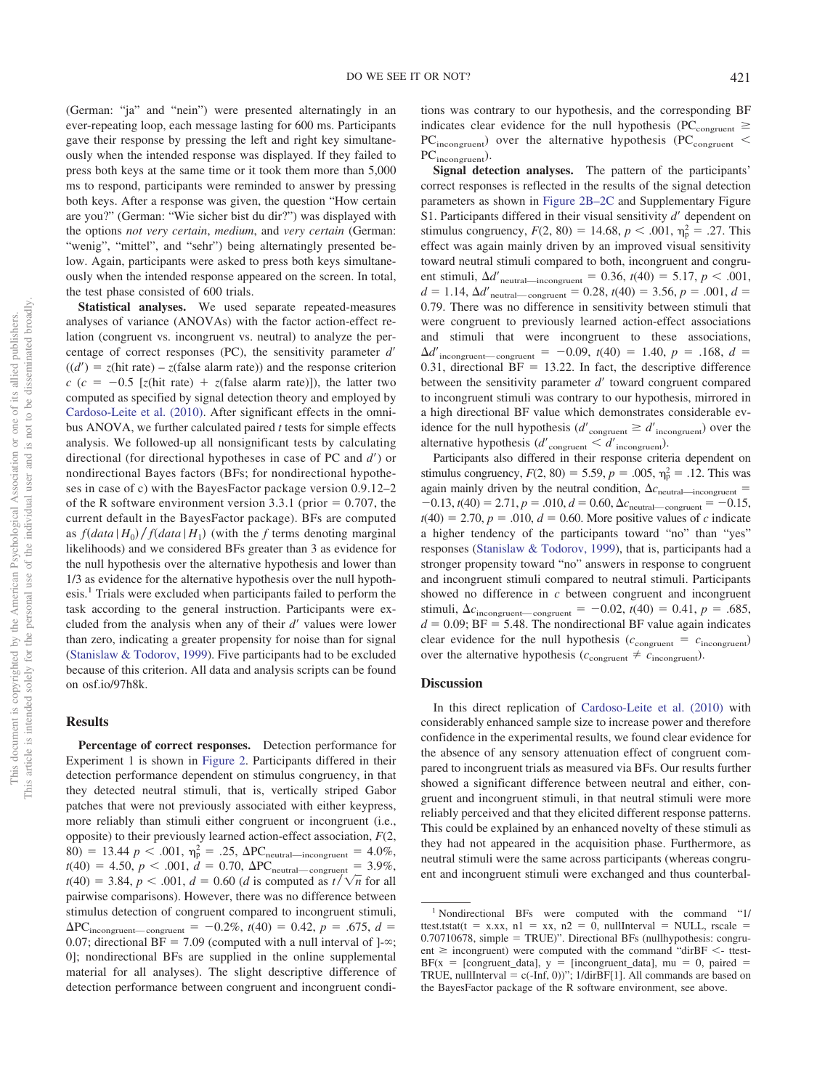(German: "ja" and "nein") were presented alternatingly in an ever-repeating loop, each message lasting for 600 ms. Participants gave their response by pressing the left and right key simultaneously when the intended response was displayed. If they failed to press both keys at the same time or it took them more than 5,000 ms to respond, participants were reminded to answer by pressing both keys. After a response was given, the question "How certain are you?" (German: "Wie sicher bist du dir?") was displayed with the options *not very certain*, *medium*, and *very certain* (German: "wenig", "mittel", and "sehr") being alternatingly presented below. Again, participants were asked to press both keys simultaneously when the intended response appeared on the screen. In total, the test phase consisted of 600 trials.

**Statistical analyses.** We used separate repeated-measures analyses of variance (ANOVAs) with the factor action-effect relation (congruent vs. incongruent vs. neutral) to analyze the percentage of correct responses  $(PC)$ , the sensitivity parameter  $d'$  $((d') = z$ (hit rate) – *z*(false alarm rate)) and the response criterion  $c$  ( $c = -0.5$  [*z*(hit rate) + *z*(false alarm rate)]), the latter two computed as specified by signal detection theory and employed by [Cardoso-Leite et al. \(2010\).](#page-11-0) After significant effects in the omnibus ANOVA, we further calculated paired *t* tests for simple effects analysis. We followed-up all nonsignificant tests by calculating directional (for directional hypotheses in case of PC and *d'*) or nondirectional Bayes factors (BFs; for nondirectional hypotheses in case of c) with the BayesFactor package version 0.9.12–2 of the R software environment version  $3.3.1$  (prior  $= 0.707$ , the current default in the BayesFactor package). BFs are computed as  $f(data | H_0) / f(data | H_1)$  (with the *f* terms denoting marginal likelihoods) and we considered BFs greater than 3 as evidence for the null hypothesis over the alternative hypothesis and lower than 1/3 as evidence for the alternative hypothesis over the null hypothesis.1 Trials were excluded when participants failed to perform the task according to the general instruction. Participants were excluded from the analysis when any of their *d'* values were lower than zero, indicating a greater propensity for noise than for signal [\(Stanislaw & Todorov, 1999\)](#page-12-13). Five participants had to be excluded because of this criterion. All data and analysis scripts can be found on osf.io/97h8k.

## **Results**

**Percentage of correct responses.** Detection performance for Experiment 1 is shown in [Figure 2.](#page-4-0) Participants differed in their detection performance dependent on stimulus congruency, in that they detected neutral stimuli, that is, vertically striped Gabor patches that were not previously associated with either keypress, more reliably than stimuli either congruent or incongruent (i.e., opposite) to their previously learned action-effect association, *F*(2, 80) = 13.44  $p < .001$ ,  $\eta_{\rm p}^2 = .25$ ,  $\Delta \text{PC}_{\rm neutral-incongruent} = 4.0\%$ ,  $t(40) = 4.50, p < .001, d = 0.70, \Delta PC_{neutral—congruent} = 3.9\%,$  $t(40) = 3.84, p < .001, d = 0.60$  (*d* is computed as  $t/\sqrt{n}$  for all pairwise comparisons). However, there was no difference between stimulus detection of congruent compared to incongruent stimuli,  $\Delta PC_{\text{incongruent}} = -0.2\%, t(40) = 0.42, p = .675, d =$ 0.07; directional BF = 7.09 (computed with a null interval of  $]-\infty$ ; 0]; nondirectional BFs are supplied in the online supplemental material for all analyses). The slight descriptive difference of detection performance between congruent and incongruent conditions was contrary to our hypothesis, and the corresponding BF indicates clear evidence for the null hypothesis (PC<sub>congruent</sub>  $\geq$  $PC_{incongruent}$ ) over the alternative hypothesis ( $PC_{congruent}$  < PC<sub>incongruent</sub>).

**Signal detection analyses.** The pattern of the participants' correct responses is reflected in the results of the signal detection parameters as shown in [Figure 2B–2C](#page-4-0) and Supplementary Figure S1. Participants differed in their visual sensitivity *d'* dependent on stimulus congruency,  $F(2, 80) = 14.68$ ,  $p < .001$ ,  $\eta_p^2 = .27$ . This effect was again mainly driven by an improved visual sensitivity toward neutral stimuli compared to both, incongruent and congruent stimuli,  $\Delta d'_{\text{neutral} \text{---} \text{incongruent}} = 0.36, t(40) = 5.17, p < .001,$  $d = 1.14$ ,  $\Delta d'_{\text{neutral—congruent}} = 0.28$ ,  $t(40) = 3.56$ ,  $p = .001$ ,  $d =$ 0.79. There was no difference in sensitivity between stimuli that were congruent to previously learned action-effect associations and stimuli that were incongruent to these associations,  $\Delta d'_{\text{incongruent}} = -0.09, t(40) = 1.40, p = .168, d =$ 0.31, directional  $BF = 13.22$ . In fact, the descriptive difference between the sensitivity parameter *d'* toward congruent compared to incongruent stimuli was contrary to our hypothesis, mirrored in a high directional BF value which demonstrates considerable evidence for the null hypothesis  $(d'_{\text{congruent}}) \ge d'_{\text{incongruent}}$ ) over the alternative hypothesis ( $d'_{\text{congruent}} < d'_{\text{incongruent}}$ ).

Participants also differed in their response criteria dependent on stimulus congruency,  $F(2, 80) = 5.59$ ,  $p = .005$ ,  $\eta_p^2 = .12$ . This was again mainly driven by the neutral condition,  $\Delta c$ <sub>neutral—incongruent</sub> =  $-0.13$ ,  $t(40) = 2.71$ ,  $p = .010$ ,  $d = 0.60$ ,  $\Delta c$ <sub>neutral—congruent</sub> = -0.15,  $t(40) = 2.70, p = .010, d = 0.60$ . More positive values of *c* indicate a higher tendency of the participants toward "no" than "yes" responses [\(Stanislaw & Todorov, 1999\)](#page-12-13), that is, participants had a stronger propensity toward "no" answers in response to congruent and incongruent stimuli compared to neutral stimuli. Participants showed no difference in *c* between congruent and incongruent stimuli,  $\Delta c_{\text{incongruent}} = -0.02$ ,  $t(40) = 0.41$ ,  $p = .685$ ,  $d = 0.09$ ; BF = 5.48. The nondirectional BF value again indicates clear evidence for the null hypothesis  $(c_{\text{congruent}} = c_{\text{incongruent}})$ over the alternative hypothesis ( $c_{\text{congruent}} \neq c_{\text{incongruent}}$ ).

## **Discussion**

In this direct replication of [Cardoso-Leite et al. \(2010\)](#page-11-0) with considerably enhanced sample size to increase power and therefore confidence in the experimental results, we found clear evidence for the absence of any sensory attenuation effect of congruent compared to incongruent trials as measured via BFs. Our results further showed a significant difference between neutral and either, congruent and incongruent stimuli, in that neutral stimuli were more reliably perceived and that they elicited different response patterns. This could be explained by an enhanced novelty of these stimuli as they had not appeared in the acquisition phase. Furthermore, as neutral stimuli were the same across participants (whereas congruent and incongruent stimuli were exchanged and thus counterbal-

<sup>1</sup> Nondirectional BFs were computed with the command "1/ ttest.tstat(t = x.xx, n1 = xx, n2 = 0, nullInterval = NULL, rscale =  $0.70710678$ , simple = TRUE)". Directional BFs (nullhypothesis: congru $ent \geq$  incongruent) were computed with the command "dirBF  $\leq$ -ttest- $BF(x = [congruent_data], y = [incongruent_data], mu = 0, paired =$ TRUE, nullInterval =  $c(-Inf, 0)$ "; 1/dirBF[1]. All commands are based on the BayesFactor package of the R software environment, see above.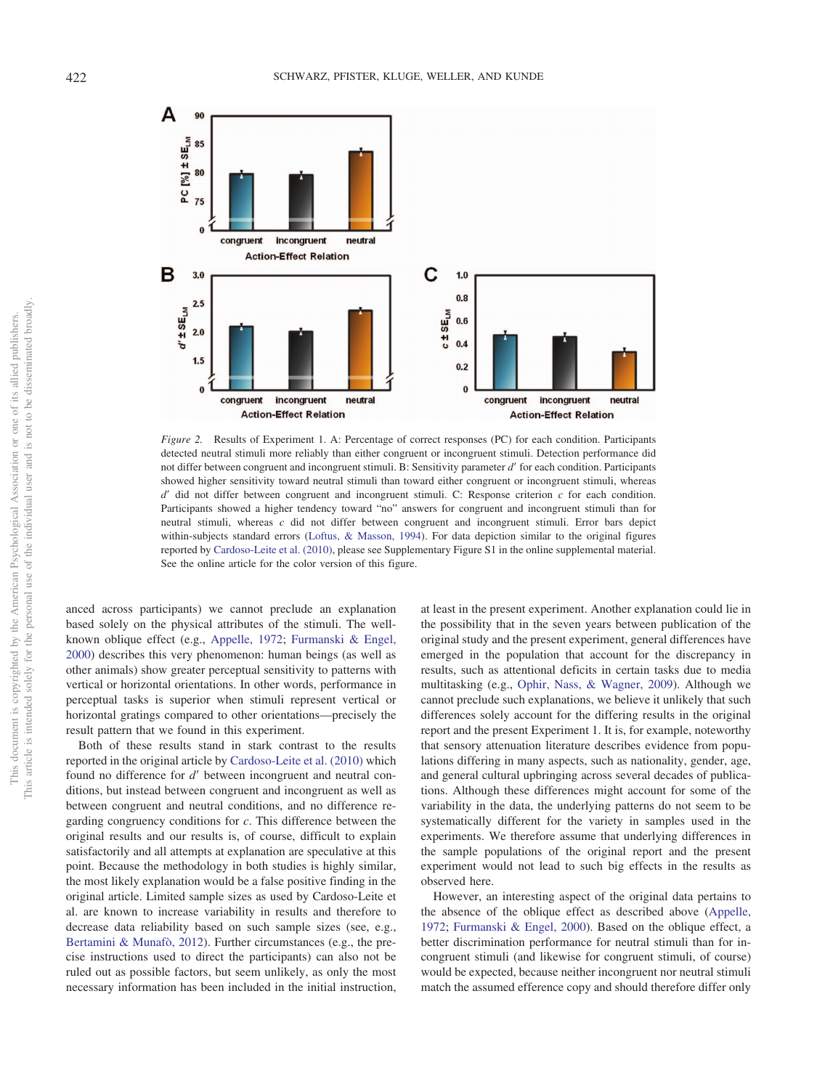

<span id="page-4-0"></span>*Figure 2.* Results of Experiment 1. A: Percentage of correct responses (PC) for each condition. Participants detected neutral stimuli more reliably than either congruent or incongruent stimuli. Detection performance did not differ between congruent and incongruent stimuli. B: Sensitivity parameter *d'* for each condition. Participants showed higher sensitivity toward neutral stimuli than toward either congruent or incongruent stimuli, whereas  $d'$  did not differ between congruent and incongruent stimuli. C: Response criterion  $c$  for each condition. Participants showed a higher tendency toward "no" answers for congruent and incongruent stimuli than for neutral stimuli, whereas *c* did not differ between congruent and incongruent stimuli. Error bars depict within-subjects standard errors [\(Loftus, & Masson, 1994\)](#page-11-19). For data depiction similar to the original figures reported by [Cardoso-Leite et al. \(2010\),](#page-11-0) please see Supplementary Figure S1 in the online supplemental material. See the online article for the color version of this figure.

anced across participants) we cannot preclude an explanation based solely on the physical attributes of the stimuli. The wellknown oblique effect (e.g., [Appelle, 1972;](#page-11-16) [Furmanski & Engel,](#page-11-17) [2000\)](#page-11-17) describes this very phenomenon: human beings (as well as other animals) show greater perceptual sensitivity to patterns with vertical or horizontal orientations. In other words, performance in perceptual tasks is superior when stimuli represent vertical or horizontal gratings compared to other orientations—precisely the result pattern that we found in this experiment.

Both of these results stand in stark contrast to the results reported in the original article by [Cardoso-Leite et al. \(2010\)](#page-11-0) which found no difference for *d'* between incongruent and neutral conditions, but instead between congruent and incongruent as well as between congruent and neutral conditions, and no difference regarding congruency conditions for *c*. This difference between the original results and our results is, of course, difficult to explain satisfactorily and all attempts at explanation are speculative at this point. Because the methodology in both studies is highly similar, the most likely explanation would be a false positive finding in the original article. Limited sample sizes as used by Cardoso-Leite et al. are known to increase variability in results and therefore to decrease data reliability based on such sample sizes (see, e.g., [Bertamini & Munafò, 2012\)](#page-11-18). Further circumstances (e.g., the precise instructions used to direct the participants) can also not be ruled out as possible factors, but seem unlikely, as only the most necessary information has been included in the initial instruction, at least in the present experiment. Another explanation could lie in the possibility that in the seven years between publication of the original study and the present experiment, general differences have emerged in the population that account for the discrepancy in results, such as attentional deficits in certain tasks due to media multitasking (e.g., [Ophir, Nass, & Wagner, 2009\)](#page-12-14). Although we cannot preclude such explanations, we believe it unlikely that such differences solely account for the differing results in the original report and the present Experiment 1. It is, for example, noteworthy that sensory attenuation literature describes evidence from populations differing in many aspects, such as nationality, gender, age, and general cultural upbringing across several decades of publications. Although these differences might account for some of the variability in the data, the underlying patterns do not seem to be systematically different for the variety in samples used in the experiments. We therefore assume that underlying differences in the sample populations of the original report and the present experiment would not lead to such big effects in the results as observed here.

However, an interesting aspect of the original data pertains to the absence of the oblique effect as described above [\(Appelle,](#page-11-16) [1972;](#page-11-16) [Furmanski & Engel, 2000\)](#page-11-17). Based on the oblique effect, a better discrimination performance for neutral stimuli than for incongruent stimuli (and likewise for congruent stimuli, of course) would be expected, because neither incongruent nor neutral stimuli match the assumed efference copy and should therefore differ only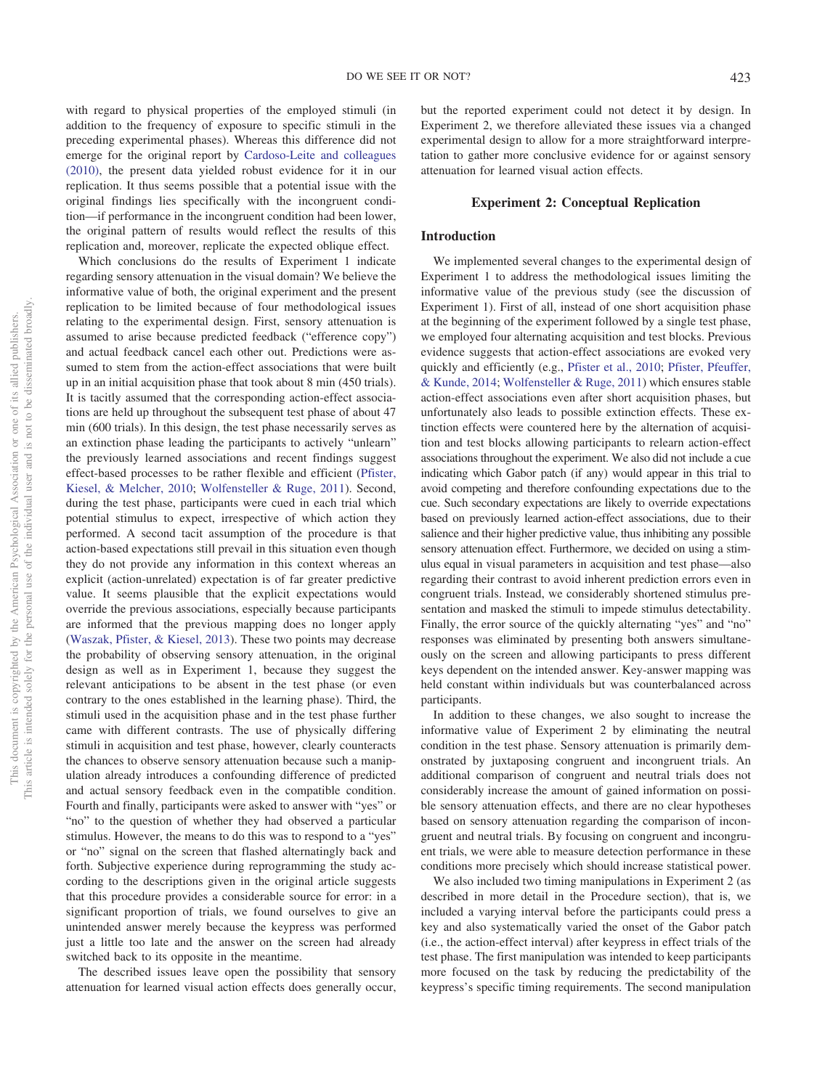with regard to physical properties of the employed stimuli (in addition to the frequency of exposure to specific stimuli in the preceding experimental phases). Whereas this difference did not emerge for the original report by [Cardoso-Leite and colleagues](#page-11-0) [\(2010\),](#page-11-0) the present data yielded robust evidence for it in our replication. It thus seems possible that a potential issue with the original findings lies specifically with the incongruent condition—if performance in the incongruent condition had been lower, the original pattern of results would reflect the results of this replication and, moreover, replicate the expected oblique effect.

Which conclusions do the results of Experiment 1 indicate regarding sensory attenuation in the visual domain? We believe the informative value of both, the original experiment and the present replication to be limited because of four methodological issues relating to the experimental design. First, sensory attenuation is assumed to arise because predicted feedback ("efference copy") and actual feedback cancel each other out. Predictions were assumed to stem from the action-effect associations that were built up in an initial acquisition phase that took about 8 min (450 trials). It is tacitly assumed that the corresponding action-effect associations are held up throughout the subsequent test phase of about 47 min (600 trials). In this design, the test phase necessarily serves as an extinction phase leading the participants to actively "unlearn" the previously learned associations and recent findings suggest effect-based processes to be rather flexible and efficient [\(Pfister,](#page-12-15) [Kiesel, & Melcher, 2010;](#page-12-15) [Wolfensteller & Ruge, 2011\)](#page-12-16). Second, during the test phase, participants were cued in each trial which potential stimulus to expect, irrespective of which action they performed. A second tacit assumption of the procedure is that action-based expectations still prevail in this situation even though they do not provide any information in this context whereas an explicit (action-unrelated) expectation is of far greater predictive value. It seems plausible that the explicit expectations would override the previous associations, especially because participants are informed that the previous mapping does no longer apply [\(Waszak, Pfister, & Kiesel, 2013\)](#page-12-17). These two points may decrease the probability of observing sensory attenuation, in the original design as well as in Experiment 1, because they suggest the relevant anticipations to be absent in the test phase (or even contrary to the ones established in the learning phase). Third, the stimuli used in the acquisition phase and in the test phase further came with different contrasts. The use of physically differing stimuli in acquisition and test phase, however, clearly counteracts the chances to observe sensory attenuation because such a manipulation already introduces a confounding difference of predicted and actual sensory feedback even in the compatible condition. Fourth and finally, participants were asked to answer with "yes" or "no" to the question of whether they had observed a particular stimulus. However, the means to do this was to respond to a "yes" or "no" signal on the screen that flashed alternatingly back and forth. Subjective experience during reprogramming the study according to the descriptions given in the original article suggests that this procedure provides a considerable source for error: in a significant proportion of trials, we found ourselves to give an unintended answer merely because the keypress was performed just a little too late and the answer on the screen had already switched back to its opposite in the meantime.

The described issues leave open the possibility that sensory attenuation for learned visual action effects does generally occur, but the reported experiment could not detect it by design. In Experiment 2, we therefore alleviated these issues via a changed experimental design to allow for a more straightforward interpretation to gather more conclusive evidence for or against sensory attenuation for learned visual action effects.

## **Experiment 2: Conceptual Replication**

## **Introduction**

We implemented several changes to the experimental design of Experiment 1 to address the methodological issues limiting the informative value of the previous study (see the discussion of Experiment 1). First of all, instead of one short acquisition phase at the beginning of the experiment followed by a single test phase, we employed four alternating acquisition and test blocks. Previous evidence suggests that action-effect associations are evoked very quickly and efficiently (e.g., [Pfister et al., 2010;](#page-12-15) [Pfister, Pfeuffer,](#page-12-18) [& Kunde, 2014;](#page-12-18) [Wolfensteller & Ruge, 2011\)](#page-12-16) which ensures stable action-effect associations even after short acquisition phases, but unfortunately also leads to possible extinction effects. These extinction effects were countered here by the alternation of acquisition and test blocks allowing participants to relearn action-effect associations throughout the experiment. We also did not include a cue indicating which Gabor patch (if any) would appear in this trial to avoid competing and therefore confounding expectations due to the cue. Such secondary expectations are likely to override expectations based on previously learned action-effect associations, due to their salience and their higher predictive value, thus inhibiting any possible sensory attenuation effect. Furthermore, we decided on using a stimulus equal in visual parameters in acquisition and test phase—also regarding their contrast to avoid inherent prediction errors even in congruent trials. Instead, we considerably shortened stimulus presentation and masked the stimuli to impede stimulus detectability. Finally, the error source of the quickly alternating "yes" and "no" responses was eliminated by presenting both answers simultaneously on the screen and allowing participants to press different keys dependent on the intended answer. Key-answer mapping was held constant within individuals but was counterbalanced across participants.

In addition to these changes, we also sought to increase the informative value of Experiment 2 by eliminating the neutral condition in the test phase. Sensory attenuation is primarily demonstrated by juxtaposing congruent and incongruent trials. An additional comparison of congruent and neutral trials does not considerably increase the amount of gained information on possible sensory attenuation effects, and there are no clear hypotheses based on sensory attenuation regarding the comparison of incongruent and neutral trials. By focusing on congruent and incongruent trials, we were able to measure detection performance in these conditions more precisely which should increase statistical power.

We also included two timing manipulations in Experiment 2 (as described in more detail in the Procedure section), that is, we included a varying interval before the participants could press a key and also systematically varied the onset of the Gabor patch (i.e., the action-effect interval) after keypress in effect trials of the test phase. The first manipulation was intended to keep participants more focused on the task by reducing the predictability of the keypress's specific timing requirements. The second manipulation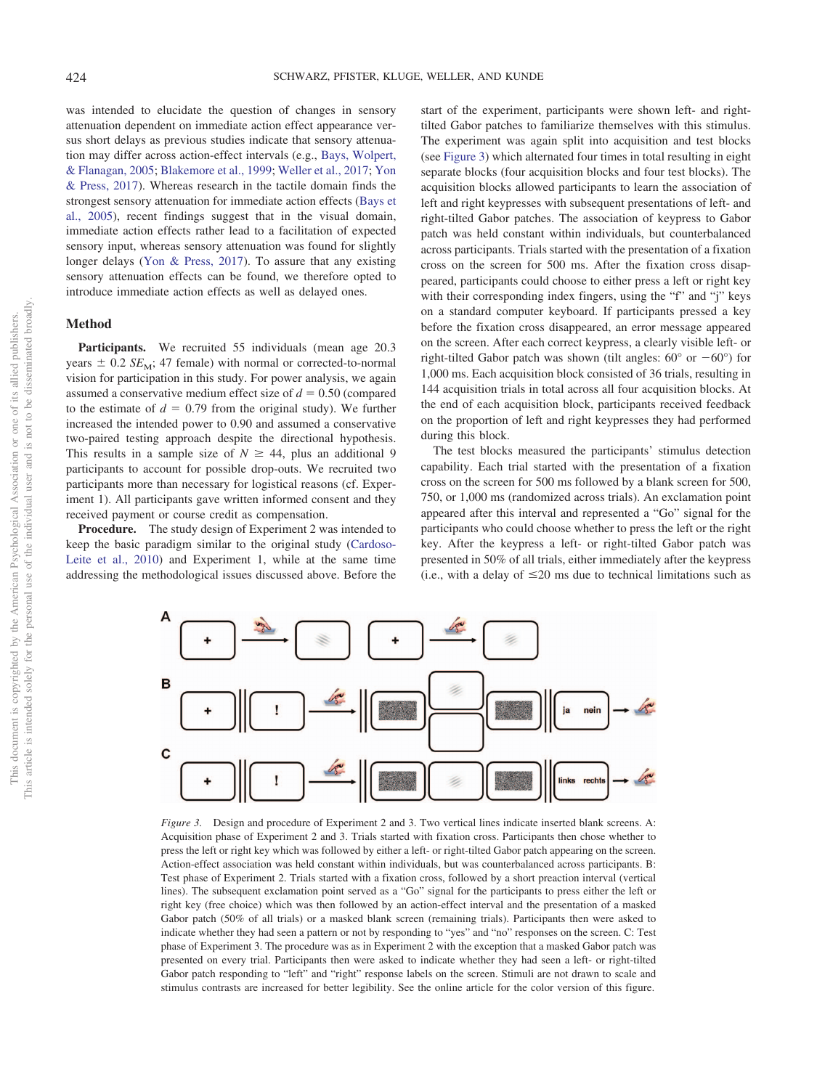was intended to elucidate the question of changes in sensory attenuation dependent on immediate action effect appearance versus short delays as previous studies indicate that sensory attenuation may differ across action-effect intervals (e.g., [Bays, Wolpert,](#page-11-20) [& Flanagan, 2005;](#page-11-20) [Blakemore et al., 1999;](#page-11-6) [Weller et al., 2017;](#page-12-5) [Yon](#page-12-6) [& Press, 2017\)](#page-12-6). Whereas research in the tactile domain finds the strongest sensory attenuation for immediate action effects [\(Bays et](#page-11-20) [al., 2005\)](#page-11-20), recent findings suggest that in the visual domain, immediate action effects rather lead to a facilitation of expected sensory input, whereas sensory attenuation was found for slightly longer delays [\(Yon & Press, 2017\)](#page-12-6). To assure that any existing sensory attenuation effects can be found, we therefore opted to introduce immediate action effects as well as delayed ones.

#### **Method**

Participants. We recruited 55 individuals (mean age 20.3 years  $\pm$  0.2 *SE<sub>M</sub>*; 47 female) with normal or corrected-to-normal vision for participation in this study. For power analysis, we again assumed a conservative medium effect size of  $d = 0.50$  (compared to the estimate of  $d = 0.79$  from the original study). We further increased the intended power to 0.90 and assumed a conservative two-paired testing approach despite the directional hypothesis. This results in a sample size of  $N \geq 44$ , plus an additional 9 participants to account for possible drop-outs. We recruited two participants more than necessary for logistical reasons (cf. Experiment 1). All participants gave written informed consent and they received payment or course credit as compensation.

**Procedure.** The study design of Experiment 2 was intended to keep the basic paradigm similar to the original study [\(Cardoso-](#page-11-0)[Leite et al., 2010\)](#page-11-0) and Experiment 1, while at the same time addressing the methodological issues discussed above. Before the

start of the experiment, participants were shown left- and righttilted Gabor patches to familiarize themselves with this stimulus. The experiment was again split into acquisition and test blocks (see [Figure 3\)](#page-6-0) which alternated four times in total resulting in eight separate blocks (four acquisition blocks and four test blocks). The acquisition blocks allowed participants to learn the association of left and right keypresses with subsequent presentations of left- and right-tilted Gabor patches. The association of keypress to Gabor patch was held constant within individuals, but counterbalanced across participants. Trials started with the presentation of a fixation cross on the screen for 500 ms. After the fixation cross disappeared, participants could choose to either press a left or right key with their corresponding index fingers, using the "f" and "j" keys on a standard computer keyboard. If participants pressed a key before the fixation cross disappeared, an error message appeared on the screen. After each correct keypress, a clearly visible left- or right-tilted Gabor patch was shown (tilt angles:  $60^{\circ}$  or  $-60^{\circ}$ ) for 1,000 ms. Each acquisition block consisted of 36 trials, resulting in 144 acquisition trials in total across all four acquisition blocks. At the end of each acquisition block, participants received feedback on the proportion of left and right keypresses they had performed during this block.

The test blocks measured the participants' stimulus detection capability. Each trial started with the presentation of a fixation cross on the screen for 500 ms followed by a blank screen for 500, 750, or 1,000 ms (randomized across trials). An exclamation point appeared after this interval and represented a "Go" signal for the participants who could choose whether to press the left or the right key. After the keypress a left- or right-tilted Gabor patch was presented in 50% of all trials, either immediately after the keypress (i.e., with a delay of  $\leq 20$  ms due to technical limitations such as



<span id="page-6-0"></span>*Figure 3.* Design and procedure of Experiment 2 and 3. Two vertical lines indicate inserted blank screens. A: Acquisition phase of Experiment 2 and 3. Trials started with fixation cross. Participants then chose whether to press the left or right key which was followed by either a left- or right-tilted Gabor patch appearing on the screen. Action-effect association was held constant within individuals, but was counterbalanced across participants. B: Test phase of Experiment 2. Trials started with a fixation cross, followed by a short preaction interval (vertical lines). The subsequent exclamation point served as a "Go" signal for the participants to press either the left or right key (free choice) which was then followed by an action-effect interval and the presentation of a masked Gabor patch (50% of all trials) or a masked blank screen (remaining trials). Participants then were asked to indicate whether they had seen a pattern or not by responding to "yes" and "no" responses on the screen. C: Test phase of Experiment 3. The procedure was as in Experiment 2 with the exception that a masked Gabor patch was presented on every trial. Participants then were asked to indicate whether they had seen a left- or right-tilted Gabor patch responding to "left" and "right" response labels on the screen. Stimuli are not drawn to scale and stimulus contrasts are increased for better legibility. See the online article for the color version of this figure.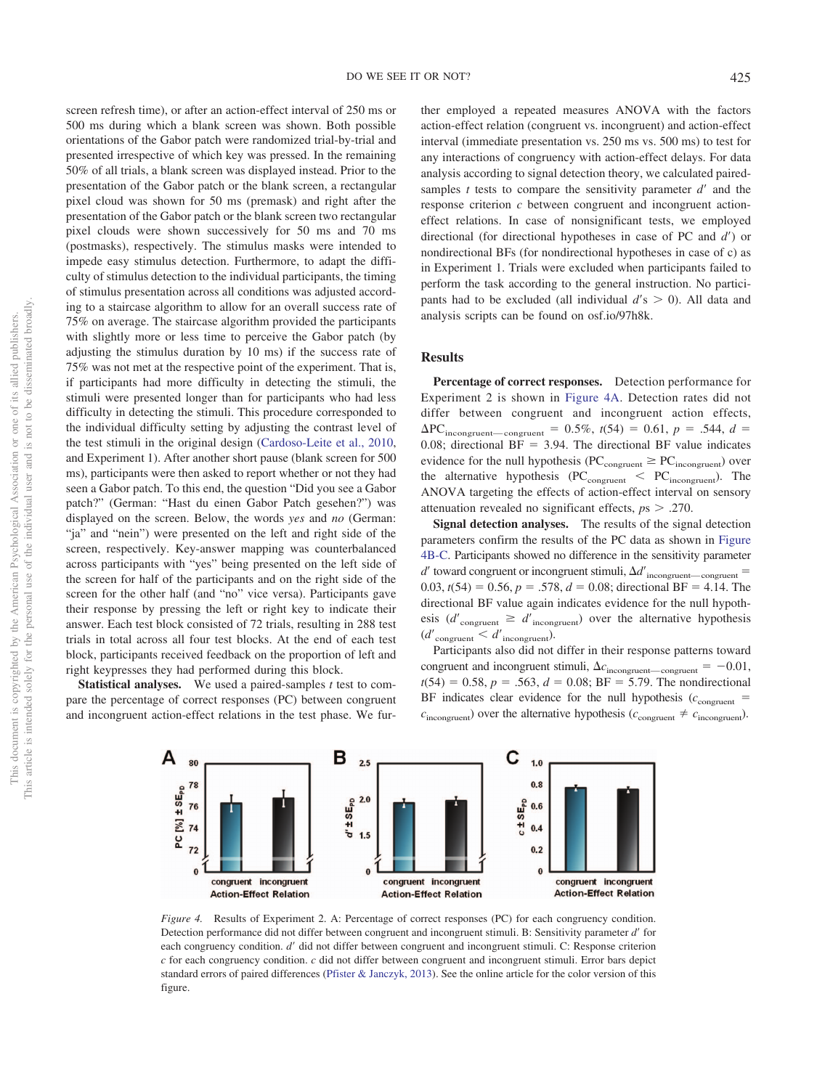screen refresh time), or after an action-effect interval of 250 ms or 500 ms during which a blank screen was shown. Both possible orientations of the Gabor patch were randomized trial-by-trial and presented irrespective of which key was pressed. In the remaining 50% of all trials, a blank screen was displayed instead. Prior to the presentation of the Gabor patch or the blank screen, a rectangular pixel cloud was shown for 50 ms (premask) and right after the presentation of the Gabor patch or the blank screen two rectangular pixel clouds were shown successively for 50 ms and 70 ms (postmasks), respectively. The stimulus masks were intended to impede easy stimulus detection. Furthermore, to adapt the difficulty of stimulus detection to the individual participants, the timing of stimulus presentation across all conditions was adjusted according to a staircase algorithm to allow for an overall success rate of 75% on average. The staircase algorithm provided the participants with slightly more or less time to perceive the Gabor patch (by adjusting the stimulus duration by 10 ms) if the success rate of 75% was not met at the respective point of the experiment. That is, if participants had more difficulty in detecting the stimuli, the stimuli were presented longer than for participants who had less difficulty in detecting the stimuli. This procedure corresponded to the individual difficulty setting by adjusting the contrast level of the test stimuli in the original design [\(Cardoso-Leite et al., 2010,](#page-11-0) and Experiment 1). After another short pause (blank screen for 500 ms), participants were then asked to report whether or not they had seen a Gabor patch. To this end, the question "Did you see a Gabor patch?" (German: "Hast du einen Gabor Patch gesehen?") was displayed on the screen. Below, the words *yes* and *no* (German: "ja" and "nein") were presented on the left and right side of the screen, respectively. Key-answer mapping was counterbalanced across participants with "yes" being presented on the left side of the screen for half of the participants and on the right side of the screen for the other half (and "no" vice versa). Participants gave their response by pressing the left or right key to indicate their answer. Each test block consisted of 72 trials, resulting in 288 test trials in total across all four test blocks. At the end of each test block, participants received feedback on the proportion of left and right keypresses they had performed during this block.

**Statistical analyses.** We used a paired-samples *t* test to compare the percentage of correct responses (PC) between congruent and incongruent action-effect relations in the test phase. We further employed a repeated measures ANOVA with the factors action-effect relation (congruent vs. incongruent) and action-effect interval (immediate presentation vs. 250 ms vs. 500 ms) to test for any interactions of congruency with action-effect delays. For data analysis according to signal detection theory, we calculated pairedsamples  $t$  tests to compare the sensitivity parameter  $d'$  and the response criterion *c* between congruent and incongruent actioneffect relations. In case of nonsignificant tests, we employed directional (for directional hypotheses in case of PC and *d'*) or nondirectional BFs (for nondirectional hypotheses in case of c) as in Experiment 1. Trials were excluded when participants failed to perform the task according to the general instruction. No participants had to be excluded (all individual  $d's > 0$ ). All data and analysis scripts can be found on osf.io/97h8k.

# **Results**

**Percentage of correct responses.** Detection performance for Experiment 2 is shown in [Figure 4A.](#page-7-0) Detection rates did not differ between congruent and incongruent action effects,  $\Delta PC_{\text{incongruent}} = 0.5\%, t(54) = 0.61, p = .544, d =$ 0.08; directional  $BF = 3.94$ . The directional BF value indicates evidence for the null hypothesis ( $PC_{\text{congruent}} \geq PC_{\text{incongruent}}$ ) over the alternative hypothesis ( $PC_{congruent} < PC_{incongruent}$ ). The ANOVA targeting the effects of action-effect interval on sensory attenuation revealed no significant effects,  $p_s$   $> .270$ .

**Signal detection analyses.** The results of the signal detection parameters confirm the results of the PC data as shown in [Figure](#page-7-0) [4B-C.](#page-7-0) Participants showed no difference in the sensitivity parameter *d*' toward congruent or incongruent stimuli,  $\Delta d'$ <sub>incongruent—congruent</sub> = 0.03,  $t(54) = 0.56$ ,  $p = .578$ ,  $d = 0.08$ ; directional BF = 4.14. The directional BF value again indicates evidence for the null hypothesis (*d*'<sub>congruent</sub>  $\geq d'$ <sub>incongruent</sub>) over the alternative hypothesis  $(d'_{\text{congruent}} < d'_{\text{incongruent}}).$ 

Participants also did not differ in their response patterns toward congruent and incongruent stimuli,  $\Delta c_{\text{incongruent}} = -0.01$ ,  $t(54) = 0.58, p = .563, d = 0.08; BF = 5.79.$  The nondirectional BF indicates clear evidence for the null hypothesis  $(c_{\text{congruent}} =$  $c_{\text{incongruent}}$ ) over the alternative hypothesis ( $c_{\text{congruent}} \neq c_{\text{incongruent}}$ ).



<span id="page-7-0"></span>*Figure 4.* Results of Experiment 2. A: Percentage of correct responses (PC) for each congruency condition. Detection performance did not differ between congruent and incongruent stimuli. B: Sensitivity parameter *d'* for each congruency condition. *d'* did not differ between congruent and incongruent stimuli. C: Response criterion *c* for each congruency condition. *c* did not differ between congruent and incongruent stimuli. Error bars depict standard errors of paired differences [\(Pfister & Janczyk, 2013\)](#page-12-19). See the online article for the color version of this figure.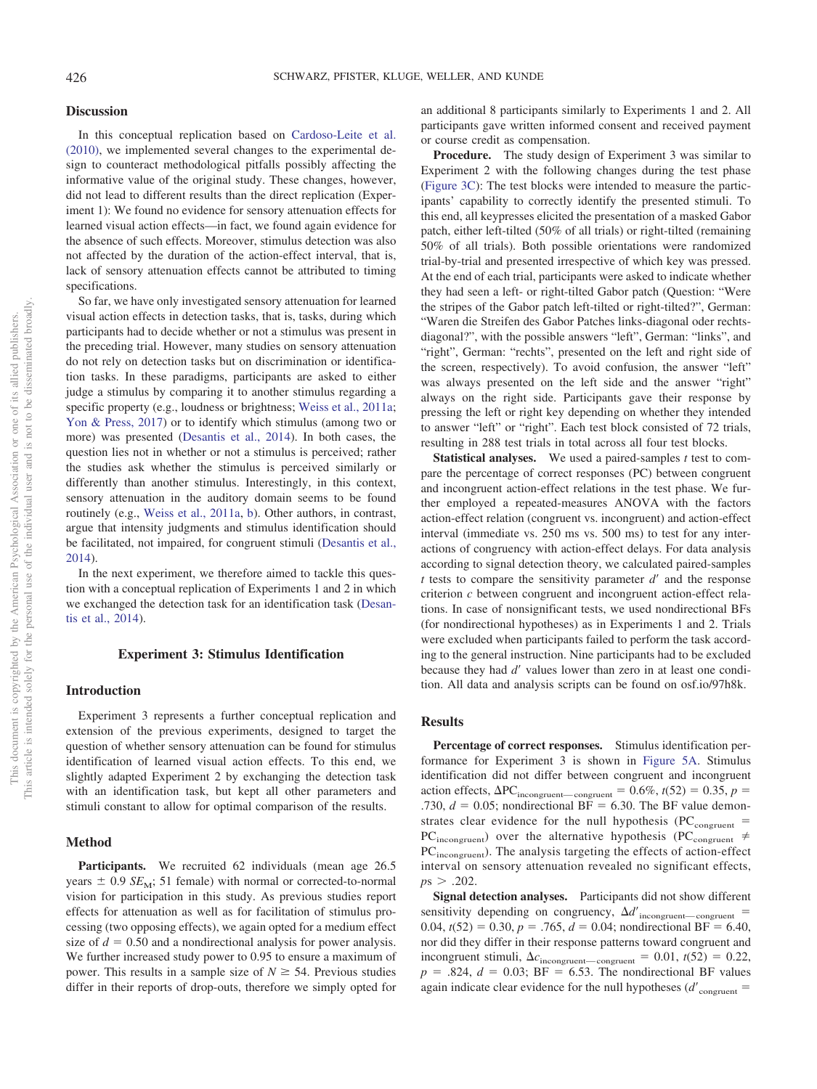#### **Discussion**

In this conceptual replication based on [Cardoso-Leite et al.](#page-11-0) [\(2010\),](#page-11-0) we implemented several changes to the experimental design to counteract methodological pitfalls possibly affecting the informative value of the original study. These changes, however, did not lead to different results than the direct replication (Experiment 1): We found no evidence for sensory attenuation effects for learned visual action effects—in fact, we found again evidence for the absence of such effects. Moreover, stimulus detection was also not affected by the duration of the action-effect interval, that is, lack of sensory attenuation effects cannot be attributed to timing specifications.

So far, we have only investigated sensory attenuation for learned visual action effects in detection tasks, that is, tasks, during which participants had to decide whether or not a stimulus was present in the preceding trial. However, many studies on sensory attenuation do not rely on detection tasks but on discrimination or identification tasks. In these paradigms, participants are asked to either judge a stimulus by comparing it to another stimulus regarding a specific property (e.g., loudness or brightness; [Weiss et al., 2011a;](#page-12-4) [Yon & Press, 2017\)](#page-12-6) or to identify which stimulus (among two or more) was presented [\(Desantis et al., 2014\)](#page-11-9). In both cases, the question lies not in whether or not a stimulus is perceived; rather the studies ask whether the stimulus is perceived similarly or differently than another stimulus. Interestingly, in this context, sensory attenuation in the auditory domain seems to be found routinely (e.g., [Weiss et al., 2011a,](#page-12-4) [b\)](#page-12-12). Other authors, in contrast, argue that intensity judgments and stimulus identification should be facilitated, not impaired, for congruent stimuli [\(Desantis et al.,](#page-11-9) [2014\)](#page-11-9).

In the next experiment, we therefore aimed to tackle this question with a conceptual replication of Experiments 1 and 2 in which we exchanged the detection task for an identification task [\(Desan](#page-11-9)[tis et al., 2014\)](#page-11-9).

# **Experiment 3: Stimulus Identification**

#### **Introduction**

Experiment 3 represents a further conceptual replication and extension of the previous experiments, designed to target the question of whether sensory attenuation can be found for stimulus identification of learned visual action effects. To this end, we slightly adapted Experiment 2 by exchanging the detection task with an identification task, but kept all other parameters and stimuli constant to allow for optimal comparison of the results.

#### **Method**

**Participants.** We recruited 62 individuals (mean age 26.5 years  $\pm$  0.9 *SE<sub>M</sub>*; 51 female) with normal or corrected-to-normal vision for participation in this study. As previous studies report effects for attenuation as well as for facilitation of stimulus processing (two opposing effects), we again opted for a medium effect size of  $d = 0.50$  and a nondirectional analysis for power analysis. We further increased study power to 0.95 to ensure a maximum of power. This results in a sample size of  $N \geq 54$ . Previous studies differ in their reports of drop-outs, therefore we simply opted for an additional 8 participants similarly to Experiments 1 and 2. All participants gave written informed consent and received payment or course credit as compensation.

**Procedure.** The study design of Experiment 3 was similar to Experiment 2 with the following changes during the test phase [\(Figure 3C\)](#page-6-0): The test blocks were intended to measure the participants' capability to correctly identify the presented stimuli. To this end, all keypresses elicited the presentation of a masked Gabor patch, either left-tilted (50% of all trials) or right-tilted (remaining 50% of all trials). Both possible orientations were randomized trial-by-trial and presented irrespective of which key was pressed. At the end of each trial, participants were asked to indicate whether they had seen a left- or right-tilted Gabor patch (Question: "Were the stripes of the Gabor patch left-tilted or right-tilted?", German: "Waren die Streifen des Gabor Patches links-diagonal oder rechtsdiagonal?", with the possible answers "left", German: "links", and "right", German: "rechts", presented on the left and right side of the screen, respectively). To avoid confusion, the answer "left" was always presented on the left side and the answer "right" always on the right side. Participants gave their response by pressing the left or right key depending on whether they intended to answer "left" or "right". Each test block consisted of 72 trials, resulting in 288 test trials in total across all four test blocks.

**Statistical analyses.** We used a paired-samples *t* test to compare the percentage of correct responses (PC) between congruent and incongruent action-effect relations in the test phase. We further employed a repeated-measures ANOVA with the factors action-effect relation (congruent vs. incongruent) and action-effect interval (immediate vs. 250 ms vs. 500 ms) to test for any interactions of congruency with action-effect delays. For data analysis according to signal detection theory, we calculated paired-samples  $t$  tests to compare the sensitivity parameter  $d'$  and the response criterion *c* between congruent and incongruent action-effect relations. In case of nonsignificant tests, we used nondirectional BFs (for nondirectional hypotheses) as in Experiments 1 and 2. Trials were excluded when participants failed to perform the task according to the general instruction. Nine participants had to be excluded because they had *d'* values lower than zero in at least one condition. All data and analysis scripts can be found on osf.io/97h8k.

#### **Results**

**Percentage of correct responses.** Stimulus identification performance for Experiment 3 is shown in [Figure 5A.](#page-9-0) Stimulus identification did not differ between congruent and incongruent action effects,  $\Delta PC_{\text{incongruent}}$  - congruent = 0.6%,  $t(52) = 0.35$ ,  $p =$ .730,  $d = 0.05$ ; nondirectional BF = 6.30. The BF value demonstrates clear evidence for the null hypothesis ( $PC_{\text{congruent}}$  = PC<sub>incongruent</sub>) over the alternative hypothesis (PC<sub>congruent</sub>  $\neq$ PC<sub>incongruent</sub>). The analysis targeting the effects of action-effect interval on sensory attenuation revealed no significant effects,  $ps > .202$ .

**Signal detection analyses.** Participants did not show different sensitivity depending on congruency,  $\Delta d'_{\text{incongruent}} =$ 0.04,  $t(52) = 0.30, p = .765, d = 0.04$ ; nondirectional BF = 6.40, nor did they differ in their response patterns toward congruent and incongruent stimuli,  $\Delta c$ <sub>incongruent—congruent</sub> = 0.01,  $t(52) = 0.22$ ,  $p = .824$ ,  $d = 0.03$ ;  $BF = 6.53$ . The nondirectional BF values again indicate clear evidence for the null hypotheses  $(d'_{\text{congruent}} =$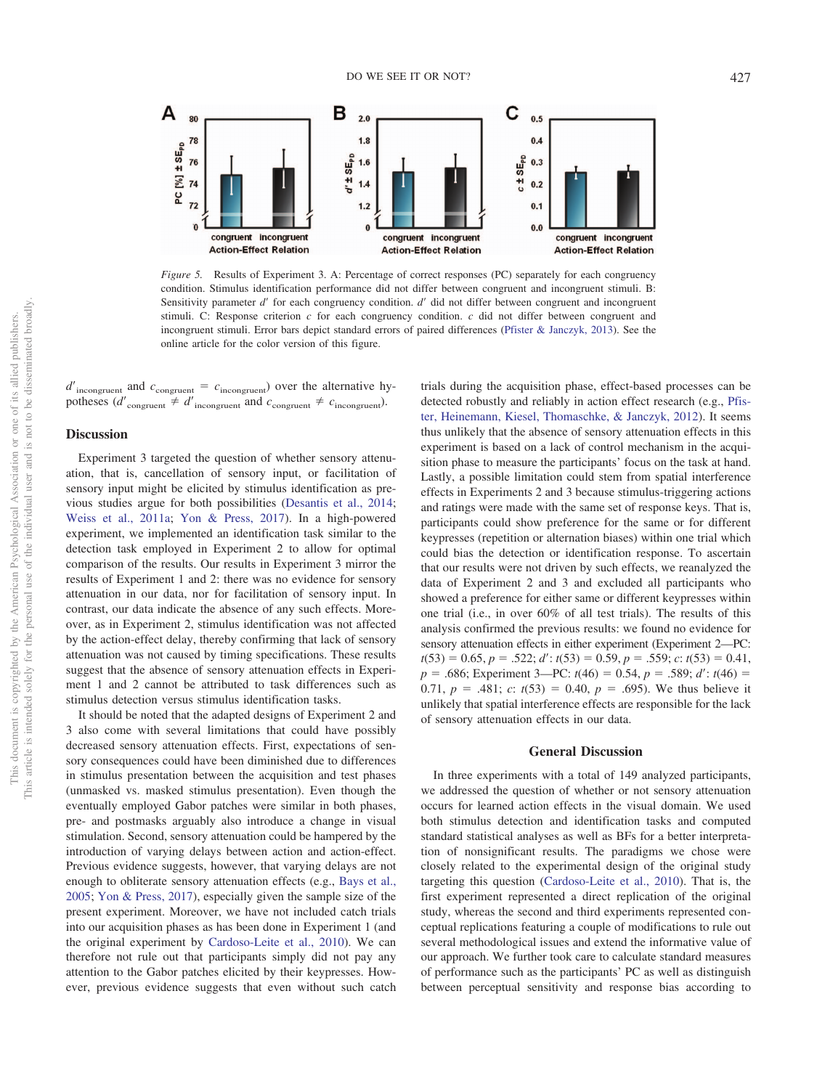

<span id="page-9-0"></span>*Figure 5.* Results of Experiment 3. A: Percentage of correct responses (PC) separately for each congruency condition. Stimulus identification performance did not differ between congruent and incongruent stimuli. B: Sensitivity parameter *d'* for each congruency condition. *d'* did not differ between congruent and incongruent stimuli. C: Response criterion *c* for each congruency condition. *c* did not differ between congruent and incongruent stimuli. Error bars depict standard errors of paired differences [\(Pfister & Janczyk, 2013\)](#page-12-19). See the online article for the color version of this figure.

 $d'_{\text{incongruent}}$  and  $c_{\text{congruent}} = c_{\text{incongruent}}$  over the alternative hypotheses (*d'*<sub>congruent</sub>  $\neq d'$ <sub>incongruent</sub> and  $c$ <sub>congruent</sub>  $\neq c$ <sub>incongruent</sub>).

#### **Discussion**

Experiment 3 targeted the question of whether sensory attenuation, that is, cancellation of sensory input, or facilitation of sensory input might be elicited by stimulus identification as previous studies argue for both possibilities [\(Desantis et al., 2014;](#page-11-9) [Weiss et al., 2011a;](#page-12-4) [Yon & Press, 2017\)](#page-12-6). In a high-powered experiment, we implemented an identification task similar to the detection task employed in Experiment 2 to allow for optimal comparison of the results. Our results in Experiment 3 mirror the results of Experiment 1 and 2: there was no evidence for sensory attenuation in our data, nor for facilitation of sensory input. In contrast, our data indicate the absence of any such effects. Moreover, as in Experiment 2, stimulus identification was not affected by the action-effect delay, thereby confirming that lack of sensory attenuation was not caused by timing specifications. These results suggest that the absence of sensory attenuation effects in Experiment 1 and 2 cannot be attributed to task differences such as stimulus detection versus stimulus identification tasks.

It should be noted that the adapted designs of Experiment 2 and 3 also come with several limitations that could have possibly decreased sensory attenuation effects. First, expectations of sensory consequences could have been diminished due to differences in stimulus presentation between the acquisition and test phases (unmasked vs. masked stimulus presentation). Even though the eventually employed Gabor patches were similar in both phases, pre- and postmasks arguably also introduce a change in visual stimulation. Second, sensory attenuation could be hampered by the introduction of varying delays between action and action-effect. Previous evidence suggests, however, that varying delays are not enough to obliterate sensory attenuation effects (e.g., [Bays et al.,](#page-11-20) [2005;](#page-11-20) [Yon & Press, 2017\)](#page-12-6), especially given the sample size of the present experiment. Moreover, we have not included catch trials into our acquisition phases as has been done in Experiment 1 (and the original experiment by [Cardoso-Leite et al., 2010\)](#page-11-0). We can therefore not rule out that participants simply did not pay any attention to the Gabor patches elicited by their keypresses. However, previous evidence suggests that even without such catch trials during the acquisition phase, effect-based processes can be detected robustly and reliably in action effect research (e.g., [Pfis](#page-12-20)[ter, Heinemann, Kiesel, Thomaschke, & Janczyk, 2012\)](#page-12-20). It seems thus unlikely that the absence of sensory attenuation effects in this experiment is based on a lack of control mechanism in the acquisition phase to measure the participants' focus on the task at hand. Lastly, a possible limitation could stem from spatial interference effects in Experiments 2 and 3 because stimulus-triggering actions and ratings were made with the same set of response keys. That is, participants could show preference for the same or for different keypresses (repetition or alternation biases) within one trial which could bias the detection or identification response. To ascertain that our results were not driven by such effects, we reanalyzed the data of Experiment 2 and 3 and excluded all participants who showed a preference for either same or different keypresses within one trial (i.e., in over 60% of all test trials). The results of this analysis confirmed the previous results: we found no evidence for sensory attenuation effects in either experiment (Experiment 2—PC:  $t(53) = 0.65, p = .522; d': t(53) = 0.59, p = .559; c: t(53) = 0.41,$  $p = 0.686$ ; Experiment 3—PC:  $t(46) = 0.54$ ,  $p = 0.589$ ; *d'*:  $t(46) = 0.54$ 0.71,  $p = .481$ ;  $c: t(53) = 0.40$ ,  $p = .695$ ). We thus believe it unlikely that spatial interference effects are responsible for the lack of sensory attenuation effects in our data.

#### **General Discussion**

In three experiments with a total of 149 analyzed participants, we addressed the question of whether or not sensory attenuation occurs for learned action effects in the visual domain. We used both stimulus detection and identification tasks and computed standard statistical analyses as well as BFs for a better interpretation of nonsignificant results. The paradigms we chose were closely related to the experimental design of the original study targeting this question [\(Cardoso-Leite et al., 2010\)](#page-11-0). That is, the first experiment represented a direct replication of the original study, whereas the second and third experiments represented conceptual replications featuring a couple of modifications to rule out several methodological issues and extend the informative value of our approach. We further took care to calculate standard measures of performance such as the participants' PC as well as distinguish between perceptual sensitivity and response bias according to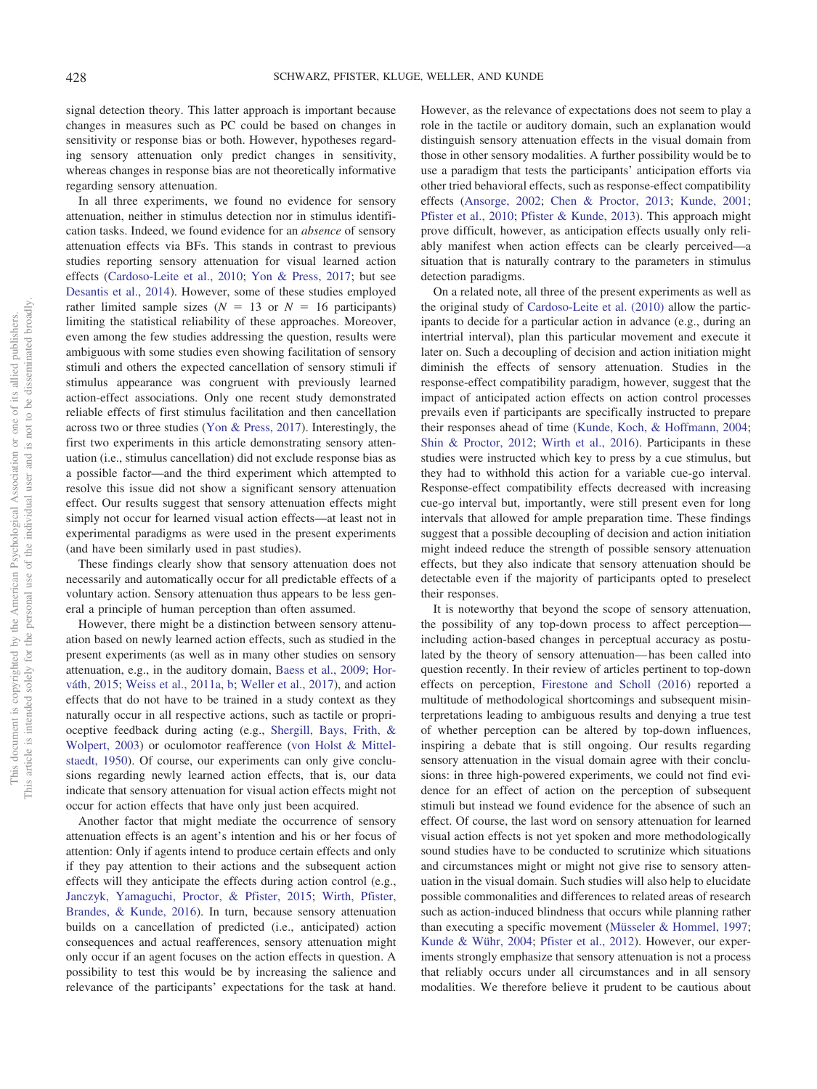signal detection theory. This latter approach is important because changes in measures such as PC could be based on changes in sensitivity or response bias or both. However, hypotheses regarding sensory attenuation only predict changes in sensitivity, whereas changes in response bias are not theoretically informative regarding sensory attenuation.

In all three experiments, we found no evidence for sensory attenuation, neither in stimulus detection nor in stimulus identification tasks. Indeed, we found evidence for an *absence* of sensory attenuation effects via BFs. This stands in contrast to previous studies reporting sensory attenuation for visual learned action effects [\(Cardoso-Leite et al., 2010;](#page-11-0) [Yon & Press, 2017;](#page-12-6) but see [Desantis et al., 2014\)](#page-11-9). However, some of these studies employed rather limited sample sizes ( $N = 13$  or  $N = 16$  participants) limiting the statistical reliability of these approaches. Moreover, even among the few studies addressing the question, results were ambiguous with some studies even showing facilitation of sensory stimuli and others the expected cancellation of sensory stimuli if stimulus appearance was congruent with previously learned action-effect associations. Only one recent study demonstrated reliable effects of first stimulus facilitation and then cancellation across two or three studies [\(Yon & Press, 2017\)](#page-12-6). Interestingly, the first two experiments in this article demonstrating sensory attenuation (i.e., stimulus cancellation) did not exclude response bias as a possible factor—and the third experiment which attempted to resolve this issue did not show a significant sensory attenuation effect. Our results suggest that sensory attenuation effects might simply not occur for learned visual action effects—at least not in experimental paradigms as were used in the present experiments (and have been similarly used in past studies).

These findings clearly show that sensory attenuation does not necessarily and automatically occur for all predictable effects of a voluntary action. Sensory attenuation thus appears to be less general a principle of human perception than often assumed.

However, there might be a distinction between sensory attenuation based on newly learned action effects, such as studied in the present experiments (as well as in many other studies on sensory attenuation, e.g., in the auditory domain, [Baess et al., 2009;](#page-11-4) [Hor](#page-11-8)[váth, 2015;](#page-11-8) [Weiss et al., 2011a,](#page-12-4) [b;](#page-12-12) [Weller et al., 2017\)](#page-12-5), and action effects that do not have to be trained in a study context as they naturally occur in all respective actions, such as tactile or proprioceptive feedback during acting (e.g., [Shergill, Bays, Frith, &](#page-12-21) [Wolpert, 2003\)](#page-12-21) or oculomotor reafference [\(von Holst & Mittel](#page-12-22)[staedt, 1950\)](#page-12-22). Of course, our experiments can only give conclusions regarding newly learned action effects, that is, our data indicate that sensory attenuation for visual action effects might not occur for action effects that have only just been acquired.

Another factor that might mediate the occurrence of sensory attenuation effects is an agent's intention and his or her focus of attention: Only if agents intend to produce certain effects and only if they pay attention to their actions and the subsequent action effects will they anticipate the effects during action control (e.g., [Janczyk, Yamaguchi, Proctor, & Pfister, 2015;](#page-11-21) [Wirth, Pfister,](#page-12-23) [Brandes, & Kunde, 2016\)](#page-12-23). In turn, because sensory attenuation builds on a cancellation of predicted (i.e., anticipated) action consequences and actual reafferences, sensory attenuation might only occur if an agent focuses on the action effects in question. A possibility to test this would be by increasing the salience and relevance of the participants' expectations for the task at hand.

However, as the relevance of expectations does not seem to play a role in the tactile or auditory domain, such an explanation would distinguish sensory attenuation effects in the visual domain from those in other sensory modalities. A further possibility would be to use a paradigm that tests the participants' anticipation efforts via other tried behavioral effects, such as response-effect compatibility effects [\(Ansorge, 2002;](#page-11-22) [Chen & Proctor, 2013;](#page-11-23) [Kunde, 2001;](#page-11-24) [Pfister et al., 2010;](#page-12-15) [Pfister & Kunde, 2013\)](#page-12-24). This approach might prove difficult, however, as anticipation effects usually only reliably manifest when action effects can be clearly perceived—a situation that is naturally contrary to the parameters in stimulus detection paradigms.

On a related note, all three of the present experiments as well as the original study of [Cardoso-Leite et al. \(2010\)](#page-11-0) allow the participants to decide for a particular action in advance (e.g., during an intertrial interval), plan this particular movement and execute it later on. Such a decoupling of decision and action initiation might diminish the effects of sensory attenuation. Studies in the response-effect compatibility paradigm, however, suggest that the impact of anticipated action effects on action control processes prevails even if participants are specifically instructed to prepare their responses ahead of time [\(Kunde, Koch, & Hoffmann, 2004;](#page-11-25) [Shin & Proctor, 2012;](#page-12-25) [Wirth et al., 2016\)](#page-12-23). Participants in these studies were instructed which key to press by a cue stimulus, but they had to withhold this action for a variable cue-go interval. Response-effect compatibility effects decreased with increasing cue-go interval but, importantly, were still present even for long intervals that allowed for ample preparation time. These findings suggest that a possible decoupling of decision and action initiation might indeed reduce the strength of possible sensory attenuation effects, but they also indicate that sensory attenuation should be detectable even if the majority of participants opted to preselect their responses.

It is noteworthy that beyond the scope of sensory attenuation, the possibility of any top-down process to affect perception including action-based changes in perceptual accuracy as postulated by the theory of sensory attenuation— has been called into question recently. In their review of articles pertinent to top-down effects on perception, [Firestone and Scholl \(2016\)](#page-11-26) reported a multitude of methodological shortcomings and subsequent misinterpretations leading to ambiguous results and denying a true test of whether perception can be altered by top-down influences, inspiring a debate that is still ongoing. Our results regarding sensory attenuation in the visual domain agree with their conclusions: in three high-powered experiments, we could not find evidence for an effect of action on the perception of subsequent stimuli but instead we found evidence for the absence of such an effect. Of course, the last word on sensory attenuation for learned visual action effects is not yet spoken and more methodologically sound studies have to be conducted to scrutinize which situations and circumstances might or might not give rise to sensory attenuation in the visual domain. Such studies will also help to elucidate possible commonalities and differences to related areas of research such as action-induced blindness that occurs while planning rather than executing a specific movement [\(Müsseler & Hommel, 1997;](#page-12-26) [Kunde & Wühr, 2004;](#page-11-27) [Pfister et al., 2012\)](#page-12-20). However, our experiments strongly emphasize that sensory attenuation is not a process that reliably occurs under all circumstances and in all sensory modalities. We therefore believe it prudent to be cautious about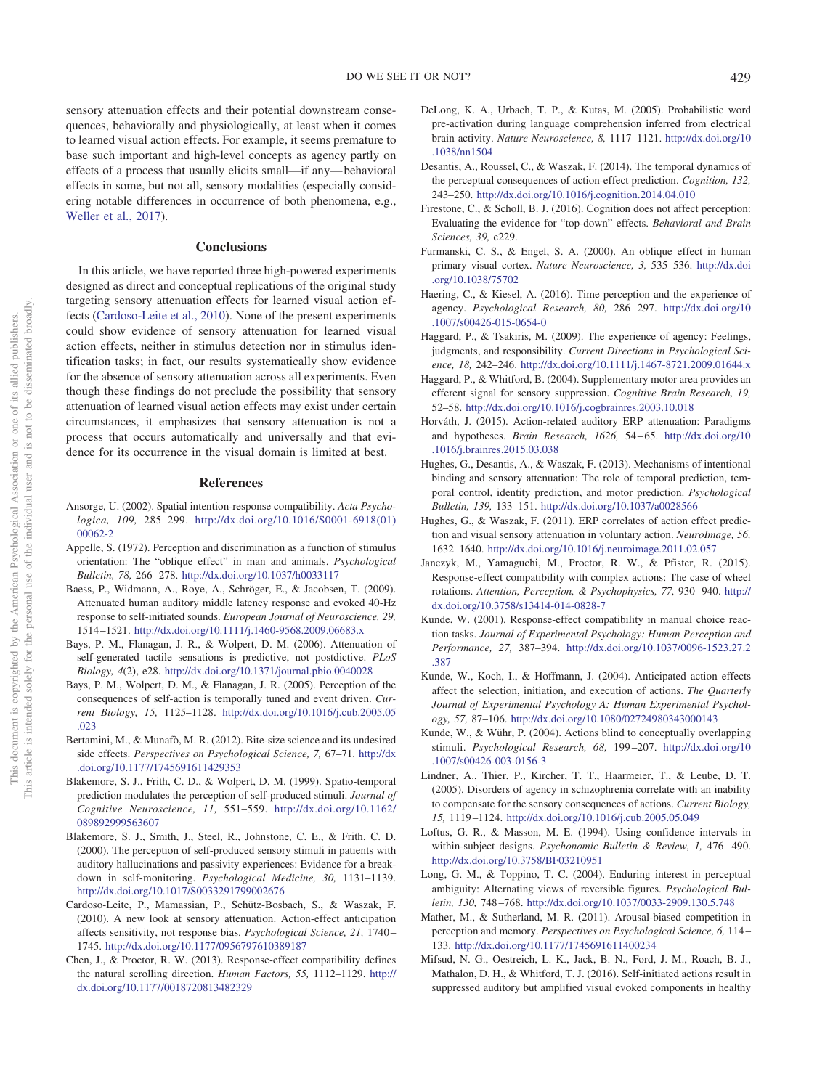sensory attenuation effects and their potential downstream consequences, behaviorally and physiologically, at least when it comes to learned visual action effects. For example, it seems premature to base such important and high-level concepts as agency partly on effects of a process that usually elicits small—if any— behavioral effects in some, but not all, sensory modalities (especially considering notable differences in occurrence of both phenomena, e.g., [Weller et al., 2017\)](#page-12-5).

#### **Conclusions**

In this article, we have reported three high-powered experiments designed as direct and conceptual replications of the original study targeting sensory attenuation effects for learned visual action effects [\(Cardoso-Leite et al., 2010\)](#page-11-0). None of the present experiments could show evidence of sensory attenuation for learned visual action effects, neither in stimulus detection nor in stimulus identification tasks; in fact, our results systematically show evidence for the absence of sensory attenuation across all experiments. Even though these findings do not preclude the possibility that sensory attenuation of learned visual action effects may exist under certain circumstances, it emphasizes that sensory attenuation is not a process that occurs automatically and universally and that evidence for its occurrence in the visual domain is limited at best.

## **References**

- <span id="page-11-22"></span>Ansorge, U. (2002). Spatial intention-response compatibility. *Acta Psychologica, 109,* 285–299. [http://dx.doi.org/10.1016/S0001-6918\(01\)](http://dx.doi.org/10.1016/S0001-6918%2801%2900062-2) [00062-2](http://dx.doi.org/10.1016/S0001-6918%2801%2900062-2)
- <span id="page-11-16"></span>Appelle, S. (1972). Perception and discrimination as a function of stimulus orientation: The "oblique effect" in man and animals. *Psychological Bulletin, 78,* 266 –278. <http://dx.doi.org/10.1037/h0033117>
- <span id="page-11-4"></span>Baess, P., Widmann, A., Roye, A., Schröger, E., & Jacobsen, T. (2009). Attenuated human auditory middle latency response and evoked 40-Hz response to self-initiated sounds. *European Journal of Neuroscience, 29,* 1514 –1521. <http://dx.doi.org/10.1111/j.1460-9568.2009.06683.x>
- <span id="page-11-5"></span>Bays, P. M., Flanagan, J. R., & Wolpert, D. M. (2006). Attenuation of self-generated tactile sensations is predictive, not postdictive. *PLoS Biology, 4*(2), e28. <http://dx.doi.org/10.1371/journal.pbio.0040028>
- <span id="page-11-20"></span>Bays, P. M., Wolpert, D. M., & Flanagan, J. R. (2005). Perception of the consequences of self-action is temporally tuned and event driven. *Current Biology, 15,* 1125–1128. [http://dx.doi.org/10.1016/j.cub.2005.05](http://dx.doi.org/10.1016/j.cub.2005.05.023) [.023](http://dx.doi.org/10.1016/j.cub.2005.05.023)
- <span id="page-11-18"></span>Bertamini, M., & Munafò, M. R. (2012). Bite-size science and its undesired side effects. *Perspectives on Psychological Science, 7,* 67–71. [http://dx](http://dx.doi.org/10.1177/1745691611429353) [.doi.org/10.1177/1745691611429353](http://dx.doi.org/10.1177/1745691611429353)
- <span id="page-11-6"></span>Blakemore, S. J., Frith, C. D., & Wolpert, D. M. (1999). Spatio-temporal prediction modulates the perception of self-produced stimuli. *Journal of Cognitive Neuroscience, 11,* 551–559. [http://dx.doi.org/10.1162/](http://dx.doi.org/10.1162/089892999563607) [089892999563607](http://dx.doi.org/10.1162/089892999563607)
- <span id="page-11-14"></span>Blakemore, S. J., Smith, J., Steel, R., Johnstone, C. E., & Frith, C. D. (2000). The perception of self-produced sensory stimuli in patients with auditory hallucinations and passivity experiences: Evidence for a breakdown in self-monitoring. *Psychological Medicine, 30,* 1131–1139. <http://dx.doi.org/10.1017/S0033291799002676>
- <span id="page-11-0"></span>Cardoso-Leite, P., Mamassian, P., Schütz-Bosbach, S., & Waszak, F. (2010). A new look at sensory attenuation. Action-effect anticipation affects sensitivity, not response bias. *Psychological Science, 21,* 1740 – 1745. <http://dx.doi.org/10.1177/0956797610389187>
- <span id="page-11-23"></span>Chen, J., & Proctor, R. W. (2013). Response-effect compatibility defines the natural scrolling direction. *Human Factors, 55,* 1112–1129. [http://](http://dx.doi.org/10.1177/0018720813482329) [dx.doi.org/10.1177/0018720813482329](http://dx.doi.org/10.1177/0018720813482329)
- <span id="page-11-2"></span>DeLong, K. A., Urbach, T. P., & Kutas, M. (2005). Probabilistic word pre-activation during language comprehension inferred from electrical brain activity. *Nature Neuroscience, 8,* 1117–1121. [http://dx.doi.org/10](http://dx.doi.org/10.1038/nn1504) [.1038/nn1504](http://dx.doi.org/10.1038/nn1504)
- <span id="page-11-9"></span>Desantis, A., Roussel, C., & Waszak, F. (2014). The temporal dynamics of the perceptual consequences of action-effect prediction. *Cognition, 132,* 243–250. <http://dx.doi.org/10.1016/j.cognition.2014.04.010>
- <span id="page-11-26"></span>Firestone, C., & Scholl, B. J. (2016). Cognition does not affect perception: Evaluating the evidence for "top-down" effects. *Behavioral and Brain Sciences, 39,* e229.
- <span id="page-11-17"></span>Furmanski, C. S., & Engel, S. A. (2000). An oblique effect in human primary visual cortex. *Nature Neuroscience, 3,* 535–536. [http://dx.doi](http://dx.doi.org/10.1038/75702) [.org/10.1038/75702](http://dx.doi.org/10.1038/75702)
- Haering, C., & Kiesel, A. (2016). Time perception and the experience of agency. *Psychological Research, 80,* 286 –297. [http://dx.doi.org/10](http://dx.doi.org/10.1007/s00426-015-0654-0) [.1007/s00426-015-0654-0](http://dx.doi.org/10.1007/s00426-015-0654-0)
- <span id="page-11-13"></span>Haggard, P., & Tsakiris, M. (2009). The experience of agency: Feelings, judgments, and responsibility. *Current Directions in Psychological Science, 18,* 242–246. <http://dx.doi.org/10.1111/j.1467-8721.2009.01644.x>
- <span id="page-11-7"></span>Haggard, P., & Whitford, B. (2004). Supplementary motor area provides an efferent signal for sensory suppression. *Cognitive Brain Research, 19,* 52–58. <http://dx.doi.org/10.1016/j.cogbrainres.2003.10.018>
- <span id="page-11-8"></span>Horváth, J. (2015). Action-related auditory ERP attenuation: Paradigms and hypotheses. *Brain Research, 1626,* 54 – 65. [http://dx.doi.org/10](http://dx.doi.org/10.1016/j.brainres.2015.03.038) [.1016/j.brainres.2015.03.038](http://dx.doi.org/10.1016/j.brainres.2015.03.038)
- <span id="page-11-12"></span>Hughes, G., Desantis, A., & Waszak, F. (2013). Mechanisms of intentional binding and sensory attenuation: The role of temporal prediction, temporal control, identity prediction, and motor prediction. *Psychological Bulletin, 139,* 133–151. <http://dx.doi.org/10.1037/a0028566>
- <span id="page-11-10"></span>Hughes, G., & Waszak, F. (2011). ERP correlates of action effect prediction and visual sensory attenuation in voluntary action. *NeuroImage, 56,* 1632–1640. <http://dx.doi.org/10.1016/j.neuroimage.2011.02.057>
- <span id="page-11-21"></span>Janczyk, M., Yamaguchi, M., Proctor, R. W., & Pfister, R. (2015). Response-effect compatibility with complex actions: The case of wheel rotations. *Attention, Perception, & Psychophysics, 77,* 930 –940. [http://](http://dx.doi.org/10.3758/s13414-014-0828-7) [dx.doi.org/10.3758/s13414-014-0828-7](http://dx.doi.org/10.3758/s13414-014-0828-7)
- <span id="page-11-24"></span>Kunde, W. (2001). Response-effect compatibility in manual choice reaction tasks. *Journal of Experimental Psychology: Human Perception and Performance, 27,* 387–394. [http://dx.doi.org/10.1037/0096-1523.27.2](http://dx.doi.org/10.1037/0096-1523.27.2.387) [.387](http://dx.doi.org/10.1037/0096-1523.27.2.387)
- <span id="page-11-25"></span>Kunde, W., Koch, I., & Hoffmann, J. (2004). Anticipated action effects affect the selection, initiation, and execution of actions. *The Quarterly Journal of Experimental Psychology A: Human Experimental Psychology, 57,* 87–106. <http://dx.doi.org/10.1080/02724980343000143>
- <span id="page-11-27"></span>Kunde, W., & Wühr, P. (2004). Actions blind to conceptually overlapping stimuli. *Psychological Research, 68,* 199 –207. [http://dx.doi.org/10](http://dx.doi.org/10.1007/s00426-003-0156-3) [.1007/s00426-003-0156-3](http://dx.doi.org/10.1007/s00426-003-0156-3)
- <span id="page-11-15"></span>Lindner, A., Thier, P., Kircher, T. T., Haarmeier, T., & Leube, D. T. (2005). Disorders of agency in schizophrenia correlate with an inability to compensate for the sensory consequences of actions. *Current Biology, 15,* 1119 –1124. <http://dx.doi.org/10.1016/j.cub.2005.05.049>
- <span id="page-11-19"></span>Loftus, G. R., & Masson, M. E. (1994). Using confidence intervals in within-subject designs. *Psychonomic Bulletin & Review, 1,* 476 – 490. <http://dx.doi.org/10.3758/BF03210951>
- <span id="page-11-3"></span>Long, G. M., & Toppino, T. C. (2004). Enduring interest in perceptual ambiguity: Alternating views of reversible figures. *Psychological Bulletin, 130,* 748 –768. <http://dx.doi.org/10.1037/0033-2909.130.5.748>
- <span id="page-11-1"></span>Mather, M., & Sutherland, M. R. (2011). Arousal-biased competition in perception and memory. *Perspectives on Psychological Science, 6,* 114 – 133. <http://dx.doi.org/10.1177/1745691611400234>
- <span id="page-11-11"></span>Mifsud, N. G., Oestreich, L. K., Jack, B. N., Ford, J. M., Roach, B. J., Mathalon, D. H., & Whitford, T. J. (2016). Self-initiated actions result in suppressed auditory but amplified visual evoked components in healthy